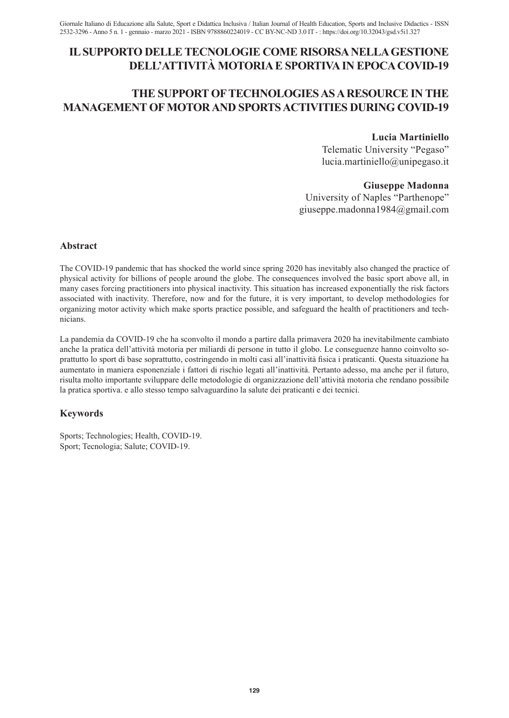# **il supporto delle tecnologie come risorsa nella gestione dell'attività motoria e sportiva in epoca covid-19**

# **THE SUPPORT OF TECHNOLOGIESASARESOURCE IN THE MANAGEMENT OF MOTORAND SPORTSACTIVITIES DURING COVID-19**

# **Lucia Martiniello**

Telematic University "Pegaso" lucia.martiniello@unipegaso.it

# **Giuseppe Madonna**

University of Naples "Parthenope" giuseppe.madonna1984@gmail.com

# **Abstract**

The COVID-19 pandemic that has shocked the world since spring 2020 has inevitably also changed the practice of physical activity for billions of people around the globe. The consequences involved the basic sport above all, in many cases forcing practitioners into physical inactivity. This situation has increased exponentially the risk factors associated with inactivity. Therefore, now and for the future, it is very important, to develop methodologies for organizing motor activity which make sports practice possible, and safeguard the health of practitioners and technicians.

La pandemia da COVID-19 che ha sconvolto il mondo a partire dalla primavera 2020 ha inevitabilmente cambiato anche la pratica dell'attività motoria per miliardi di persone in tutto il globo. Le conseguenze hanno coinvolto soprattutto lo sport di base soprattutto, costringendo in molti casi all'inattività fisica i praticanti. Questa situazione ha aumentato in maniera esponenziale i fattori di rischio legati all'inattività. Pertanto adesso, ma anche per il futuro, risulta molto importante sviluppare delle metodologie di organizzazione dell'attività motoria che rendano possibile la pratica sportiva. e allo stesso tempo salvaguardino la salute dei praticanti e dei tecnici.

# **Keywords**

Sports; Technologies; Health, COVID-19. Sport; Tecnologia; Salute; COVID-19.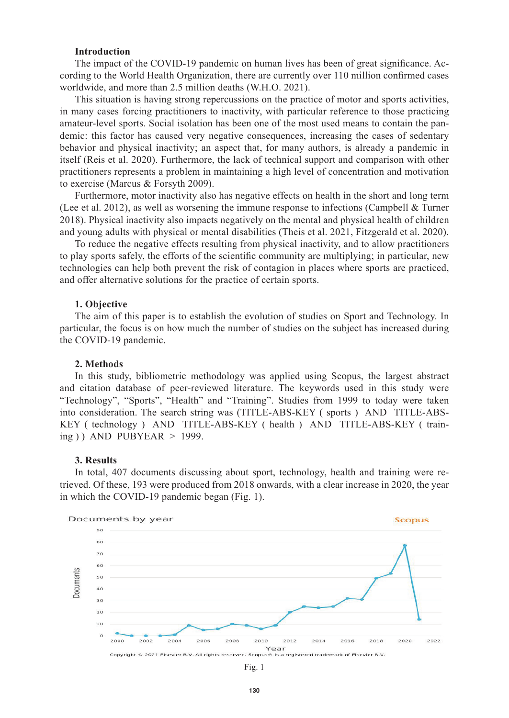## **Introduction**

The impact of the COVID-19 pandemic on human lives has been of great significance. According to the World Health Organization, there are currently over 110 million confirmed cases worldwide, and more than 2.5 million deaths (W.H.O. 2021).

This situation is having strong repercussions on the practice of motor and sports activities, in many cases forcing practitioners to inactivity, with particular reference to those practicing amateur-level sports. Social isolation has been one of the most used means to contain the pandemic: this factor has caused very negative consequences, increasing the cases of sedentary behavior and physical inactivity; an aspect that, for many authors, is already a pandemic in itself (Reis et al. 2020). Furthermore, the lack of technical support and comparison with other practitioners represents a problem in maintaining a high level of concentration and motivation to exercise (Marcus & Forsyth 2009).

Furthermore, motor inactivity also has negative effects on health in the short and long term (Lee et al. 2012), as well as worsening the immune response to infections (Campbell & Turner 2018). Physical inactivity also impacts negatively on the mental and physical health of children and young adults with physical or mental disabilities (Theis et al. 2021, Fitzgerald et al. 2020).

To reduce the negative effects resulting from physical inactivity, and to allow practitioners to play sports safely, the efforts of the scientific community are multiplying; in particular, new technologies can help both prevent the risk of contagion in places where sports are practiced, and offer alternative solutions for the practice of certain sports.

#### **1. Objective**

The aim of this paper is to establish the evolution of studies on Sport and Technology. In particular, the focus is on how much the number of studies on the subject has increased during the COVID-19 pandemic.

## **2. Methods**

In this study, bibliometric methodology was applied using Scopus, the largest abstract and citation database of peer-reviewed literature. The keywords used in this study were "Technology", "Sports", "Health" and "Training". Studies from 1999 to today were taken into consideration. The search string was (TITLE-ABS-KEY ( sports ) AND TITLE-ABS-KEY ( technology ) AND TITLE-ABS-KEY ( health ) AND TITLE-ABS-KEY ( training ) ) AND PUBYEAR  $> 1999$ .

## **3. Results**

In total, 407 documents discussing about sport, technology, health and training were retrieved. Of these, 193 were produced from 2018 onwards, with a clear increase in 2020, the year in which the COVID-19 pandemic began (Fig. 1).



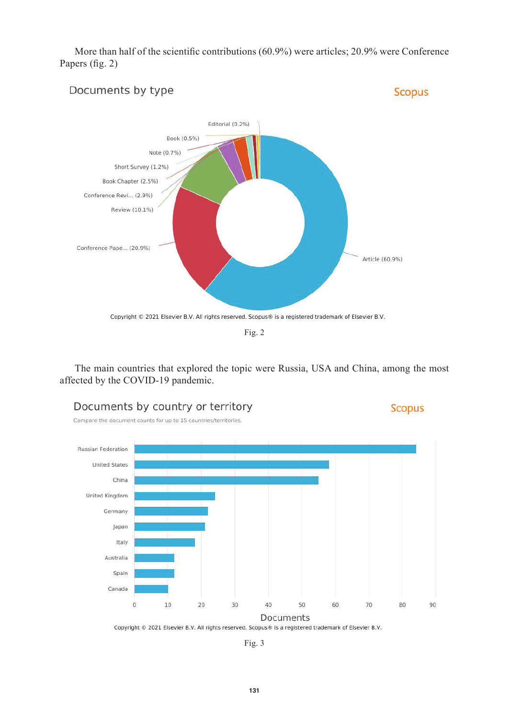More than half of the scientific contributions (60.9%) were articles; 20.9% were Conference Papers (fig. 2)



The main countries that explored the topic were Russia, USA and China, among the most affected by the COVID-19 pandemic.





Compare the document counts for up to 15 countries/territories



Fig. 3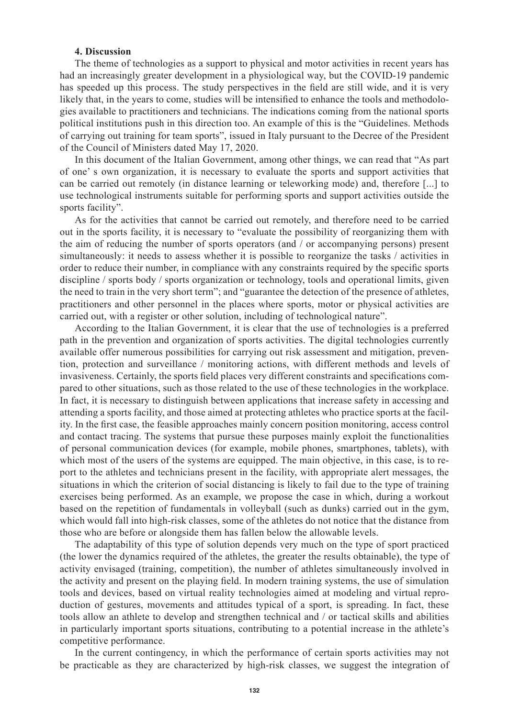# **4. Discussion**

The theme of technologies as a support to physical and motor activities in recent years has had an increasingly greater development in a physiological way, but the COVID-19 pandemic has speeded up this process. The study perspectives in the field are still wide, and it is very likely that, in the years to come, studies will be intensified to enhance the tools and methodologies available to practitioners and technicians. The indications coming from the national sports political institutions push in this direction too. An example of this is the "Guidelines. Methods of carrying out training for team sports", issued in Italy pursuant to the Decree of the President of the Council of Ministers dated May 17, 2020.

In this document of the Italian Government, among other things, we can read that "As part of one' s own organization, it is necessary to evaluate the sports and support activities that can be carried out remotely (in distance learning or teleworking mode) and, therefore [...] to use technological instruments suitable for performing sports and support activities outside the sports facility".

As for the activities that cannot be carried out remotely, and therefore need to be carried out in the sports facility, it is necessary to "evaluate the possibility of reorganizing them with the aim of reducing the number of sports operators (and / or accompanying persons) present simultaneously: it needs to assess whether it is possible to reorganize the tasks / activities in order to reduce their number, in compliance with any constraints required by the specific sports discipline / sports body / sports organization or technology, tools and operational limits, given the need to train in the very short term"; and "guarantee the detection of the presence of athletes, practitioners and other personnel in the places where sports, motor or physical activities are carried out, with a register or other solution, including of technological nature".

According to the Italian Government, it is clear that the use of technologies is a preferred path in the prevention and organization of sports activities. The digital technologies currently available offer numerous possibilities for carrying out risk assessment and mitigation, prevention, protection and surveillance / monitoring actions, with different methods and levels of invasiveness. Certainly, the sports field places very different constraints and specifications compared to other situations, such as those related to the use of these technologies in the workplace. In fact, it is necessary to distinguish between applications that increase safety in accessing and attending a sports facility, and those aimed at protecting athletes who practice sports at the facility. In the first case, the feasible approaches mainly concern position monitoring, access control and contact tracing. The systems that pursue these purposes mainly exploit the functionalities of personal communication devices (for example, mobile phones, smartphones, tablets), with which most of the users of the systems are equipped. The main objective, in this case, is to report to the athletes and technicians present in the facility, with appropriate alert messages, the situations in which the criterion of social distancing is likely to fail due to the type of training exercises being performed. As an example, we propose the case in which, during a workout based on the repetition of fundamentals in volleyball (such as dunks) carried out in the gym, which would fall into high-risk classes, some of the athletes do not notice that the distance from those who are before or alongside them has fallen below the allowable levels.

The adaptability of this type of solution depends very much on the type of sport practiced (the lower the dynamics required of the athletes, the greater the results obtainable), the type of activity envisaged (training, competition), the number of athletes simultaneously involved in the activity and present on the playing field. In modern training systems, the use of simulation tools and devices, based on virtual reality technologies aimed at modeling and virtual reproduction of gestures, movements and attitudes typical of a sport, is spreading. In fact, these tools allow an athlete to develop and strengthen technical and / or tactical skills and abilities in particularly important sports situations, contributing to a potential increase in the athlete's competitive performance.

In the current contingency, in which the performance of certain sports activities may not be practicable as they are characterized by high-risk classes, we suggest the integration of